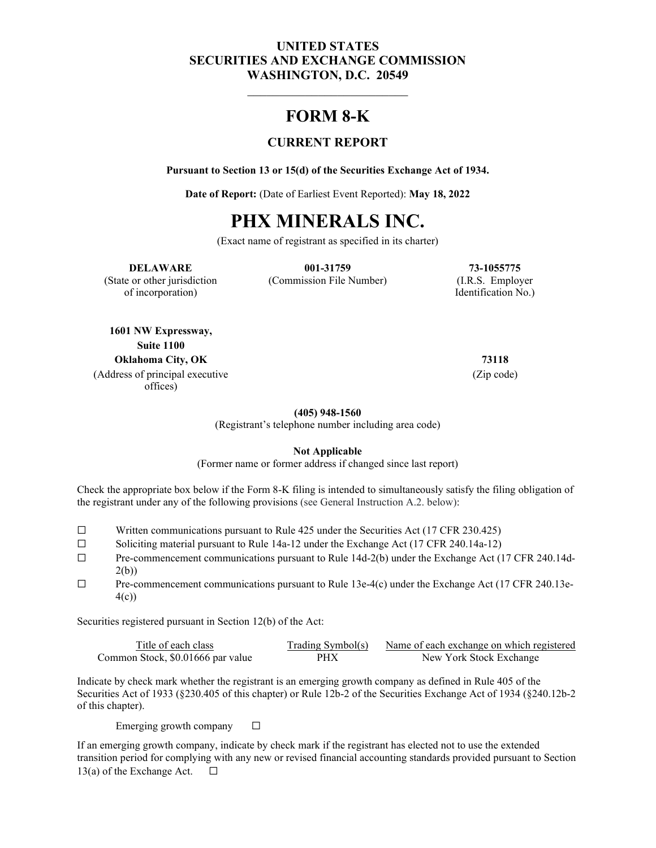#### **UNITED STATES SECURITIES AND EXCHANGE COMMISSION WASHINGTON, D.C. 20549**

# **FORM 8-K**

#### **CURRENT REPORT**

**Pursuant to Section 13 or 15(d) of the Securities Exchange Act of 1934.**

**Date of Report:** (Date of Earliest Event Reported): **May 18, 2022**

# **PHX MINERALS INC.**

(Exact name of registrant as specified in its charter)

**DELAWARE 001-31759 73-1055775** (State or other jurisdiction (Commission File Number) (I.R.S. Employer

of incorporation) Identification No.

**1601 NW Expressway, Suite 1100 Oklahoma City, OK 73118** (Address of principal executive offices)

(Zip code)

**(405) 948-1560**

(Registrant's telephone number including area code)

**Not Applicable**

(Former name or former address if changed since last report)

Check the appropriate box below if the Form 8-K filing is intended to simultaneously satisfy the filing obligation of the registrant under any of the following provisions (see General Instruction A.2. below):

- ☐ Written communications pursuant to Rule 425 under the Securities Act (17 CFR 230.425)
- ☐ Soliciting material pursuant to Rule 14a-12 under the Exchange Act (17 CFR 240.14a-12)
- ☐ Pre-commencement communications pursuant to Rule 14d-2(b) under the Exchange Act (17 CFR 240.14d-2(b))
- $\Box$  Pre-commencement communications pursuant to Rule 13e-4(c) under the Exchange Act (17 CFR 240.13e-4(c))

Securities registered pursuant in Section 12(b) of the Act:

| Title of each class               | Trading Symbol(s) | Name of each exchange on which registered |
|-----------------------------------|-------------------|-------------------------------------------|
| Common Stock, \$0.01666 par value | PHX               | New York Stock Exchange                   |

Indicate by check mark whether the registrant is an emerging growth company as defined in Rule 405 of the Securities Act of 1933 (§230.405 of this chapter) or Rule 12b-2 of the Securities Exchange Act of 1934 (§240.12b-2 of this chapter).

Emerging growth company  $\Box$ 

If an emerging growth company, indicate by check mark if the registrant has elected not to use the extended transition period for complying with any new or revised financial accounting standards provided pursuant to Section 13(a) of the Exchange Act.  $□$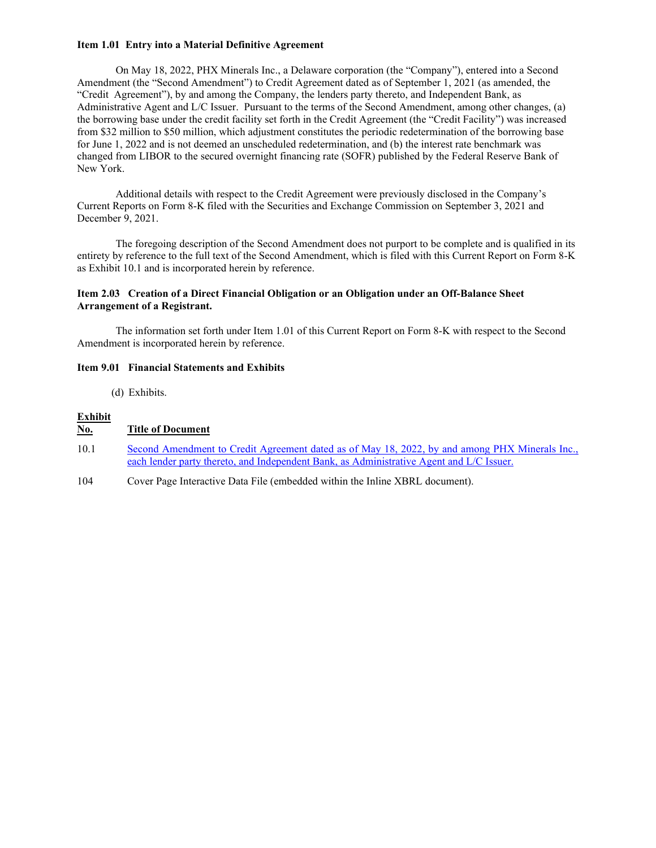#### **Item 1.01 Entry into a Material Definitive Agreement**

On May 18, 2022, PHX Minerals Inc., a Delaware corporation (the "Company"), entered into a Second Amendment (the "Second Amendment") to Credit Agreement dated as of September 1, 2021 (as amended, the "Credit Agreement"), by and among the Company, the lenders party thereto, and Independent Bank, as Administrative Agent and L/C Issuer. Pursuant to the terms of the Second Amendment, among other changes, (a) the borrowing base under the credit facility set forth in the Credit Agreement (the "Credit Facility") was increased from \$32 million to \$50 million, which adjustment constitutes the periodic redetermination of the borrowing base for June 1, 2022 and is not deemed an unscheduled redetermination, and (b) the interest rate benchmark was changed from LIBOR to the secured overnight financing rate (SOFR) published by the Federal Reserve Bank of New York.

Additional details with respect to the Credit Agreement were previously disclosed in the Company's Current Reports on Form 8-K filed with the Securities and Exchange Commission on September 3, 2021 and December 9, 2021.

The foregoing description of the Second Amendment does not purport to be complete and is qualified in its entirety by reference to the full text of the Second Amendment, which is filed with this Current Report on Form 8-K as Exhibit 10.1 and is incorporated herein by reference.

#### **Item 2.03 Creation of a Direct Financial Obligation or an Obligation under an Off-Balance Sheet Arrangement of a Registrant.**

The information set forth under Item 1.01 of this Current Report on Form 8-K with respect to the Second Amendment is incorporated herein by reference.

#### **Item 9.01 Financial Statements and Exhibits**

(d) Exhibits.

#### **Exhibit**

#### **No. Title of Document**

- 10.1 Second Amendment to Credit Agreement dated as of May 18, 2022, by and among PHX Minerals Inc., each lender party thereto, and Independent Bank, as Administrative Agent and L/C Issuer.
- 104 Cover Page Interactive Data File (embedded within the Inline XBRL document).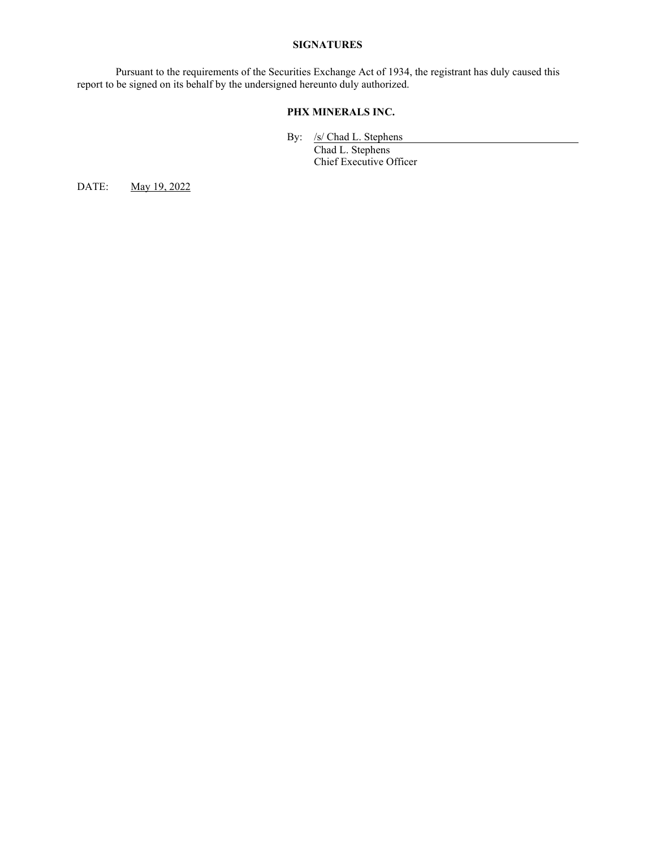#### **SIGNATURES**

Pursuant to the requirements of the Securities Exchange Act of 1934, the registrant has duly caused this report to be signed on its behalf by the undersigned hereunto duly authorized.

#### **PHX MINERALS INC.**

By: /s/ Chad L. Stephens

Chad L. Stephens Chief Executive Officer

DATE: May 19, 2022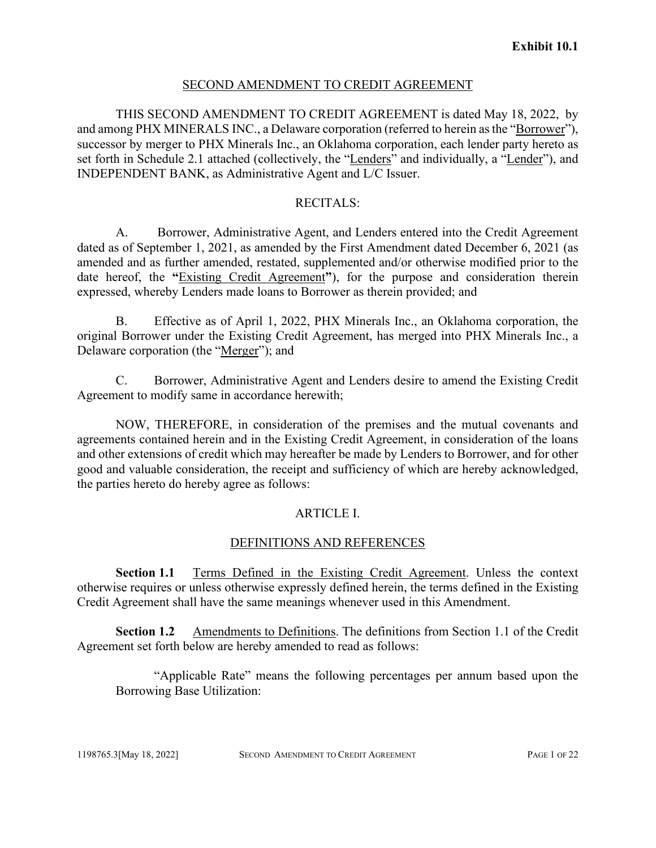#### SECOND AMENDMENT TO CREDIT AGREEMENT

THIS SECOND AMENDMENT TO CREDIT AGREEMENT is dated May 18, 2022, by and among PHX MINERALS INC., a Delaware corporation (referred to herein as the "Borrower"), successor by merger to PHX Minerals Inc., an Oklahoma corporation, each lender party hereto as set forth in Schedule 2.1 attached (collectively, the "Lenders" and individually, a "Lender"), and INDEPENDENT BANK, as Administrative Agent and L/C Issuer.

#### RECITALS:

A. Borrower, Administrative Agent, and Lenders entered into the Credit Agreement dated as of September 1, 2021, as amended by the First Amendment dated December 6, 2021 (as amended and as further amended, restated, supplemented and/or otherwise modified prior to the date hereof, the **"**Existing Credit Agreement**"**), for the purpose and consideration therein expressed, whereby Lenders made loans to Borrower as therein provided; and

B. Effective as of April 1, 2022, PHX Minerals Inc., an Oklahoma corporation, the original Borrower under the Existing Credit Agreement, has merged into PHX Minerals Inc., a Delaware corporation (the "Merger"); and

C. Borrower, Administrative Agent and Lenders desire to amend the Existing Credit Agreement to modify same in accordance herewith;

NOW, THEREFORE, in consideration of the premises and the mutual covenants and agreements contained herein and in the Existing Credit Agreement, in consideration of the loans and other extensions of credit which may hereafter be made by Lenders to Borrower, and for other good and valuable consideration, the receipt and sufficiency of which are hereby acknowledged, the parties hereto do hereby agree as follows:

#### ARTICLE I.

#### DEFINITIONS AND REFERENCES

**Section 1.1** Terms Defined in the Existing Credit Agreement. Unless the context otherwise requires or unless otherwise expressly defined herein, the terms defined in the Existing Credit Agreement shall have the same meanings whenever used in this Amendment.

**Section 1.2** Amendments to Definitions. The definitions from Section 1.1 of the Credit Agreement set forth below are hereby amended to read as follows:

"Applicable Rate" means the following percentages per annum based upon the Borrowing Base Utilization: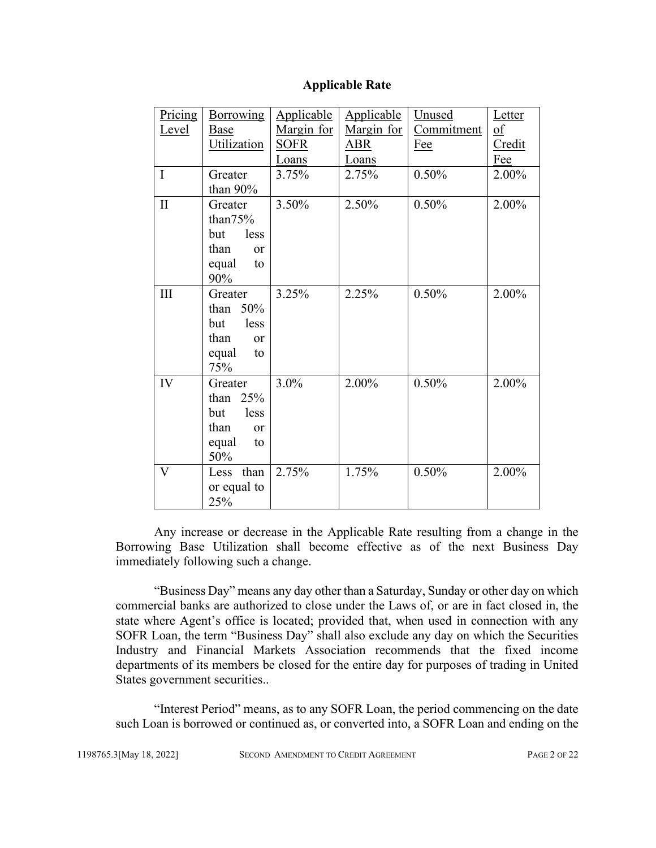| <b>Applicable Rate</b> |
|------------------------|
|------------------------|

| Pricing                 | <b>Borrowing</b>      | <b>Applicable</b> | Applicable | Unused     | Letter                    |
|-------------------------|-----------------------|-------------------|------------|------------|---------------------------|
| <u>Level</u>            | Base                  | Margin for        | Margin for | Commitment | $\underline{\mathbf{of}}$ |
|                         | Utilization           | <b>SOFR</b>       | ABR        | Fee        | Credit                    |
|                         |                       | Loans             | Loans      |            | Fee                       |
| $\mathbf I$             | Greater               | 3.75%             | 2.75%      | 0.50%      | 2.00%                     |
|                         | than 90%              |                   |            |            |                           |
| $\mathbf{I}$            | Greater               | 3.50%             | 2.50%      | 0.50%      | 2.00%                     |
|                         | than $75%$            |                   |            |            |                           |
|                         | less<br>but           |                   |            |            |                           |
|                         | than<br><sub>or</sub> |                   |            |            |                           |
|                         | equal<br>to           |                   |            |            |                           |
|                         | 90%                   |                   |            |            |                           |
| III                     | Greater               | 3.25%             | 2.25%      | 0.50%      | 2.00%                     |
|                         | than $50\%$           |                   |            |            |                           |
|                         | but<br>less           |                   |            |            |                           |
|                         | than<br><b>or</b>     |                   |            |            |                           |
|                         | equal<br>to           |                   |            |            |                           |
|                         | 75%                   |                   |            |            |                           |
| IV                      | Greater               | 3.0%              | 2.00%      | 0.50%      | 2.00%                     |
|                         | 25%<br>than           |                   |            |            |                           |
|                         | less<br>but           |                   |            |            |                           |
|                         | than<br><sub>or</sub> |                   |            |            |                           |
|                         | equal<br>to           |                   |            |            |                           |
|                         | 50%                   |                   |            |            |                           |
| $\overline{\mathsf{V}}$ | than<br>Less          | 2.75%             | 1.75%      | 0.50%      | 2.00%                     |
|                         | or equal to           |                   |            |            |                           |
|                         | 25%                   |                   |            |            |                           |

Any increase or decrease in the Applicable Rate resulting from a change in the Borrowing Base Utilization shall become effective as of the next Business Day immediately following such a change.

"Business Day" means any day other than a Saturday, Sunday or other day on which commercial banks are authorized to close under the Laws of, or are in fact closed in, the state where Agent's office is located; provided that, when used in connection with any SOFR Loan, the term "Business Day" shall also exclude any day on which the Securities Industry and Financial Markets Association recommends that the fixed income departments of its members be closed for the entire day for purposes of trading in United States government securities..

"Interest Period" means, as to any SOFR Loan, the period commencing on the date such Loan is borrowed or continued as, or converted into, a SOFR Loan and ending on the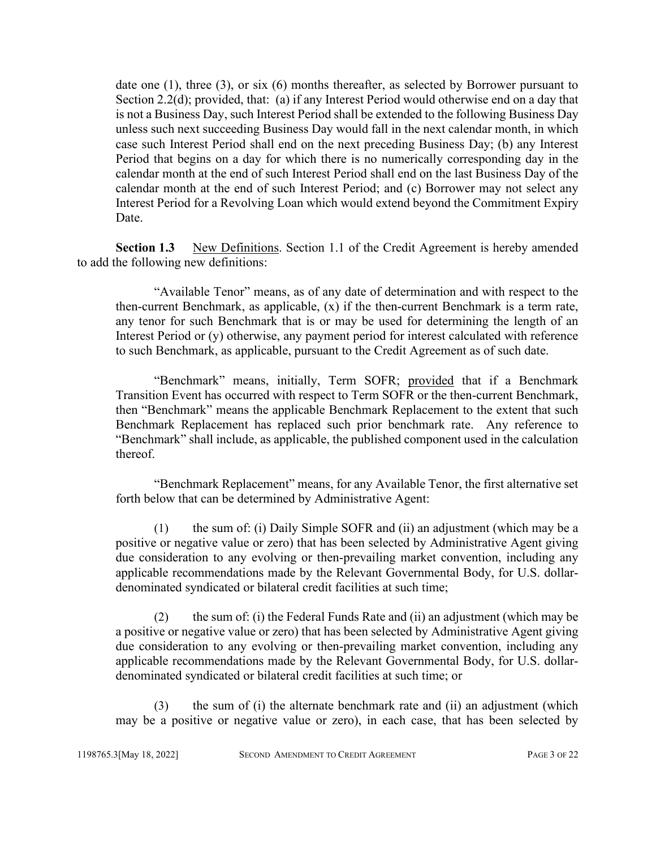date one (1), three (3), or six (6) months thereafter, as selected by Borrower pursuant to Section 2.2(d); provided, that: (a) if any Interest Period would otherwise end on a day that is not a Business Day, such Interest Period shall be extended to the following Business Day unless such next succeeding Business Day would fall in the next calendar month, in which case such Interest Period shall end on the next preceding Business Day; (b) any Interest Period that begins on a day for which there is no numerically corresponding day in the calendar month at the end of such Interest Period shall end on the last Business Day of the calendar month at the end of such Interest Period; and (c) Borrower may not select any Interest Period for a Revolving Loan which would extend beyond the Commitment Expiry Date.

**Section 1.3** New Definitions. Section 1.1 of the Credit Agreement is hereby amended to add the following new definitions:

"Available Tenor" means, as of any date of determination and with respect to the then-current Benchmark, as applicable,  $(x)$  if the then-current Benchmark is a term rate, any tenor for such Benchmark that is or may be used for determining the length of an Interest Period or (y) otherwise, any payment period for interest calculated with reference to such Benchmark, as applicable, pursuant to the Credit Agreement as of such date.

"Benchmark" means, initially, Term SOFR; provided that if a Benchmark Transition Event has occurred with respect to Term SOFR or the then-current Benchmark, then "Benchmark" means the applicable Benchmark Replacement to the extent that such Benchmark Replacement has replaced such prior benchmark rate. Any reference to "Benchmark" shall include, as applicable, the published component used in the calculation thereof.

"Benchmark Replacement" means, for any Available Tenor, the first alternative set forth below that can be determined by Administrative Agent:

(1) the sum of: (i) Daily Simple SOFR and (ii) an adjustment (which may be a positive or negative value or zero) that has been selected by Administrative Agent giving due consideration to any evolving or then-prevailing market convention, including any applicable recommendations made by the Relevant Governmental Body, for U.S. dollardenominated syndicated or bilateral credit facilities at such time;

(2) the sum of: (i) the Federal Funds Rate and (ii) an adjustment (which may be a positive or negative value or zero) that has been selected by Administrative Agent giving due consideration to any evolving or then-prevailing market convention, including any applicable recommendations made by the Relevant Governmental Body, for U.S. dollardenominated syndicated or bilateral credit facilities at such time; or

(3) the sum of (i) the alternate benchmark rate and (ii) an adjustment (which may be a positive or negative value or zero), in each case, that has been selected by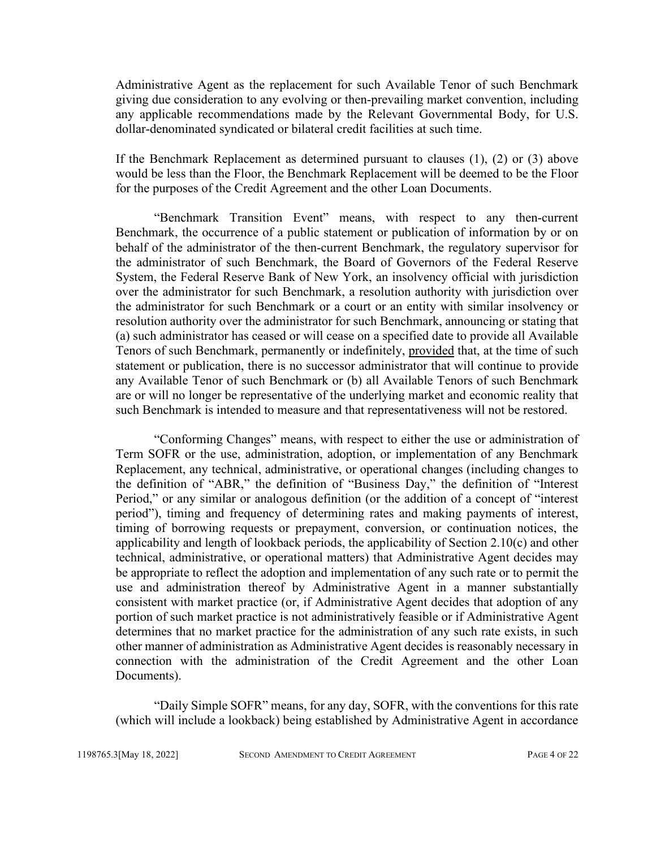Administrative Agent as the replacement for such Available Tenor of such Benchmark giving due consideration to any evolving or then-prevailing market convention, including any applicable recommendations made by the Relevant Governmental Body, for U.S. dollar-denominated syndicated or bilateral credit facilities at such time.

If the Benchmark Replacement as determined pursuant to clauses (1), (2) or (3) above would be less than the Floor, the Benchmark Replacement will be deemed to be the Floor for the purposes of the Credit Agreement and the other Loan Documents.

"Benchmark Transition Event" means, with respect to any then-current Benchmark, the occurrence of a public statement or publication of information by or on behalf of the administrator of the then-current Benchmark, the regulatory supervisor for the administrator of such Benchmark, the Board of Governors of the Federal Reserve System, the Federal Reserve Bank of New York, an insolvency official with jurisdiction over the administrator for such Benchmark, a resolution authority with jurisdiction over the administrator for such Benchmark or a court or an entity with similar insolvency or resolution authority over the administrator for such Benchmark, announcing or stating that (a) such administrator has ceased or will cease on a specified date to provide all Available Tenors of such Benchmark, permanently or indefinitely, provided that, at the time of such statement or publication, there is no successor administrator that will continue to provide any Available Tenor of such Benchmark or (b) all Available Tenors of such Benchmark are or will no longer be representative of the underlying market and economic reality that such Benchmark is intended to measure and that representativeness will not be restored.

"Conforming Changes" means, with respect to either the use or administration of Term SOFR or the use, administration, adoption, or implementation of any Benchmark Replacement, any technical, administrative, or operational changes (including changes to the definition of "ABR," the definition of "Business Day," the definition of "Interest Period," or any similar or analogous definition (or the addition of a concept of "interest period"), timing and frequency of determining rates and making payments of interest, timing of borrowing requests or prepayment, conversion, or continuation notices, the applicability and length of lookback periods, the applicability of Section 2.10(c) and other technical, administrative, or operational matters) that Administrative Agent decides may be appropriate to reflect the adoption and implementation of any such rate or to permit the use and administration thereof by Administrative Agent in a manner substantially consistent with market practice (or, if Administrative Agent decides that adoption of any portion of such market practice is not administratively feasible or if Administrative Agent determines that no market practice for the administration of any such rate exists, in such other manner of administration as Administrative Agent decides is reasonably necessary in connection with the administration of the Credit Agreement and the other Loan Documents).

"Daily Simple SOFR" means, for any day, SOFR, with the conventions for this rate (which will include a lookback) being established by Administrative Agent in accordance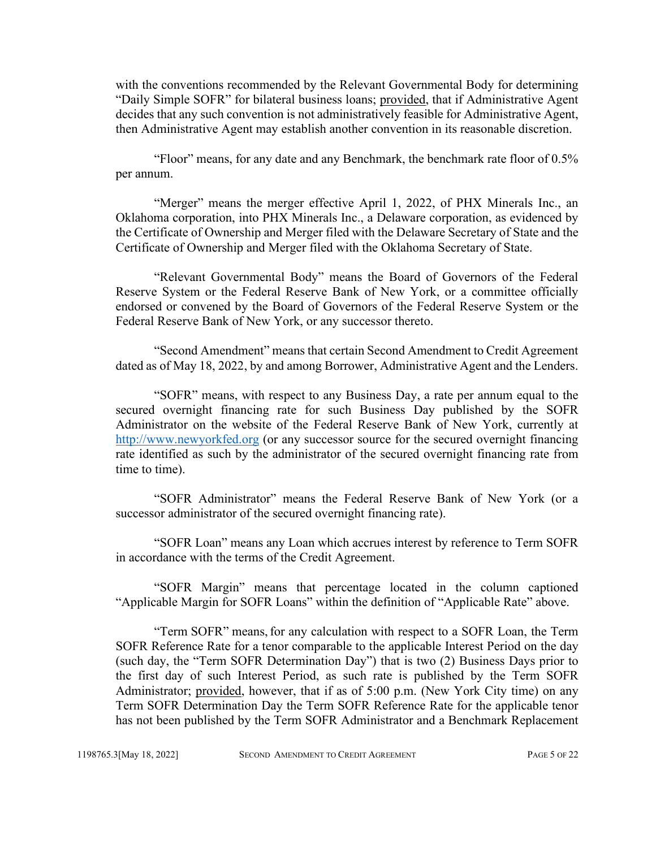with the conventions recommended by the Relevant Governmental Body for determining "Daily Simple SOFR" for bilateral business loans; provided, that if Administrative Agent decides that any such convention is not administratively feasible for Administrative Agent, then Administrative Agent may establish another convention in its reasonable discretion.

"Floor" means, for any date and any Benchmark, the benchmark rate floor of 0.5% per annum.

"Merger" means the merger effective April 1, 2022, of PHX Minerals Inc., an Oklahoma corporation, into PHX Minerals Inc., a Delaware corporation, as evidenced by the Certificate of Ownership and Merger filed with the Delaware Secretary of State and the Certificate of Ownership and Merger filed with the Oklahoma Secretary of State.

"Relevant Governmental Body" means the Board of Governors of the Federal Reserve System or the Federal Reserve Bank of New York, or a committee officially endorsed or convened by the Board of Governors of the Federal Reserve System or the Federal Reserve Bank of New York, or any successor thereto.

"Second Amendment" means that certain Second Amendment to Credit Agreement dated as of May 18, 2022, by and among Borrower, Administrative Agent and the Lenders.

"SOFR" means, with respect to any Business Day, a rate per annum equal to the secured overnight financing rate for such Business Day published by the SOFR Administrator on the website of the Federal Reserve Bank of New York, currently at http://www.newyorkfed.org (or any successor source for the secured overnight financing rate identified as such by the administrator of the secured overnight financing rate from time to time).

"SOFR Administrator" means the Federal Reserve Bank of New York (or a successor administrator of the secured overnight financing rate).

"SOFR Loan" means any Loan which accrues interest by reference to Term SOFR in accordance with the terms of the Credit Agreement.

"SOFR Margin" means that percentage located in the column captioned "Applicable Margin for SOFR Loans" within the definition of "Applicable Rate" above.

"Term SOFR" means,for any calculation with respect to a SOFR Loan, the Term SOFR Reference Rate for a tenor comparable to the applicable Interest Period on the day (such day, the "Term SOFR Determination Day") that is two (2) Business Days prior to the first day of such Interest Period, as such rate is published by the Term SOFR Administrator; provided, however, that if as of 5:00 p.m. (New York City time) on any Term SOFR Determination Day the Term SOFR Reference Rate for the applicable tenor has not been published by the Term SOFR Administrator and a Benchmark Replacement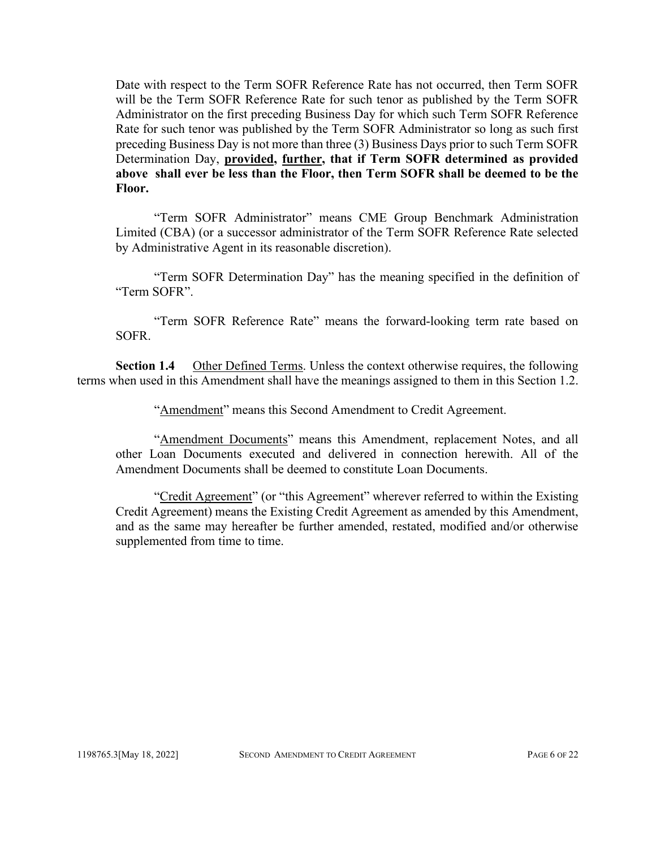Date with respect to the Term SOFR Reference Rate has not occurred, then Term SOFR will be the Term SOFR Reference Rate for such tenor as published by the Term SOFR Administrator on the first preceding Business Day for which such Term SOFR Reference Rate for such tenor was published by the Term SOFR Administrator so long as such first preceding Business Day is not more than three (3) Business Days prior to such Term SOFR Determination Day, **provided, further, that if Term SOFR determined as provided above shall ever be less than the Floor, then Term SOFR shall be deemed to be the Floor.**

"Term SOFR Administrator" means CME Group Benchmark Administration Limited (CBA) (or a successor administrator of the Term SOFR Reference Rate selected by Administrative Agent in its reasonable discretion).

"Term SOFR Determination Day" has the meaning specified in the definition of "Term SOFR".

"Term SOFR Reference Rate" means the forward-looking term rate based on SOFR.

**Section 1.4** Other Defined Terms. Unless the context otherwise requires, the following terms when used in this Amendment shall have the meanings assigned to them in this Section 1.2.

"Amendment" means this Second Amendment to Credit Agreement.

"Amendment Documents" means this Amendment, replacement Notes, and all other Loan Documents executed and delivered in connection herewith. All of the Amendment Documents shall be deemed to constitute Loan Documents.

"Credit Agreement" (or "this Agreement" wherever referred to within the Existing Credit Agreement) means the Existing Credit Agreement as amended by this Amendment, and as the same may hereafter be further amended, restated, modified and/or otherwise supplemented from time to time.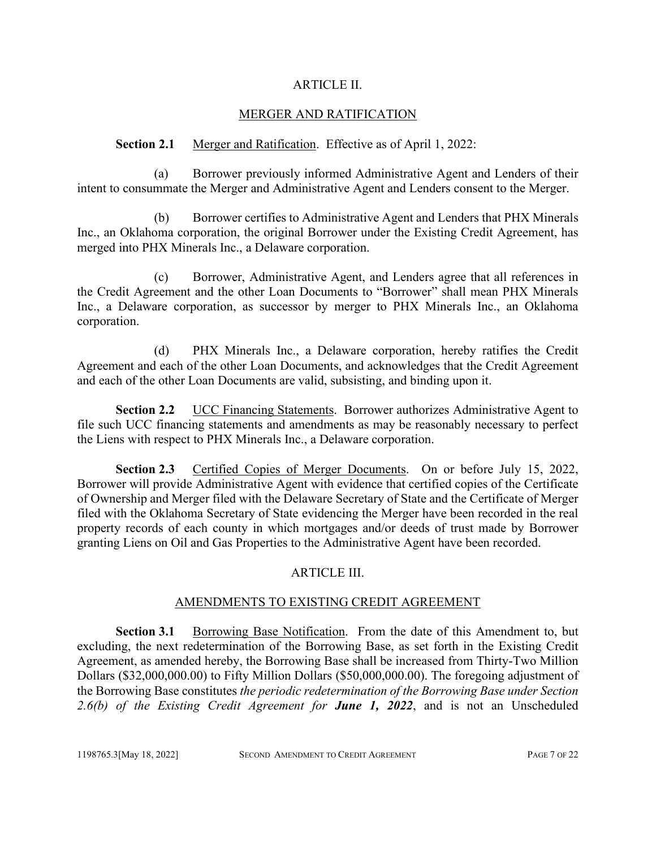#### ARTICLE II.

## MERGER AND RATIFICATION

#### **Section 2.1** Merger and Ratification. Effective as of April 1, 2022:

(a) Borrower previously informed Administrative Agent and Lenders of their intent to consummate the Merger and Administrative Agent and Lenders consent to the Merger.

(b) Borrower certifies to Administrative Agent and Lenders that PHX Minerals Inc., an Oklahoma corporation, the original Borrower under the Existing Credit Agreement, has merged into PHX Minerals Inc., a Delaware corporation.

(c) Borrower, Administrative Agent, and Lenders agree that all references in the Credit Agreement and the other Loan Documents to "Borrower" shall mean PHX Minerals Inc., a Delaware corporation, as successor by merger to PHX Minerals Inc., an Oklahoma corporation.

(d) PHX Minerals Inc., a Delaware corporation, hereby ratifies the Credit Agreement and each of the other Loan Documents, and acknowledges that the Credit Agreement and each of the other Loan Documents are valid, subsisting, and binding upon it.

**Section 2.2** UCC Financing Statements. Borrower authorizes Administrative Agent to file such UCC financing statements and amendments as may be reasonably necessary to perfect the Liens with respect to PHX Minerals Inc., a Delaware corporation.

**Section 2.3** Certified Copies of Merger Documents. On or before July 15, 2022, Borrower will provide Administrative Agent with evidence that certified copies of the Certificate of Ownership and Merger filed with the Delaware Secretary of State and the Certificate of Merger filed with the Oklahoma Secretary of State evidencing the Merger have been recorded in the real property records of each county in which mortgages and/or deeds of trust made by Borrower granting Liens on Oil and Gas Properties to the Administrative Agent have been recorded.

## ARTICLE III.

#### AMENDMENTS TO EXISTING CREDIT AGREEMENT

**Section 3.1** Borrowing Base Notification. From the date of this Amendment to, but excluding, the next redetermination of the Borrowing Base, as set forth in the Existing Credit Agreement, as amended hereby, the Borrowing Base shall be increased from Thirty-Two Million Dollars (\$32,000,000.00) to Fifty Million Dollars (\$50,000,000.00). The foregoing adjustment of the Borrowing Base constitutes *the periodic redetermination of the Borrowing Base under Section 2.6(b) of the Existing Credit Agreement for June 1, 2022*, and is not an Unscheduled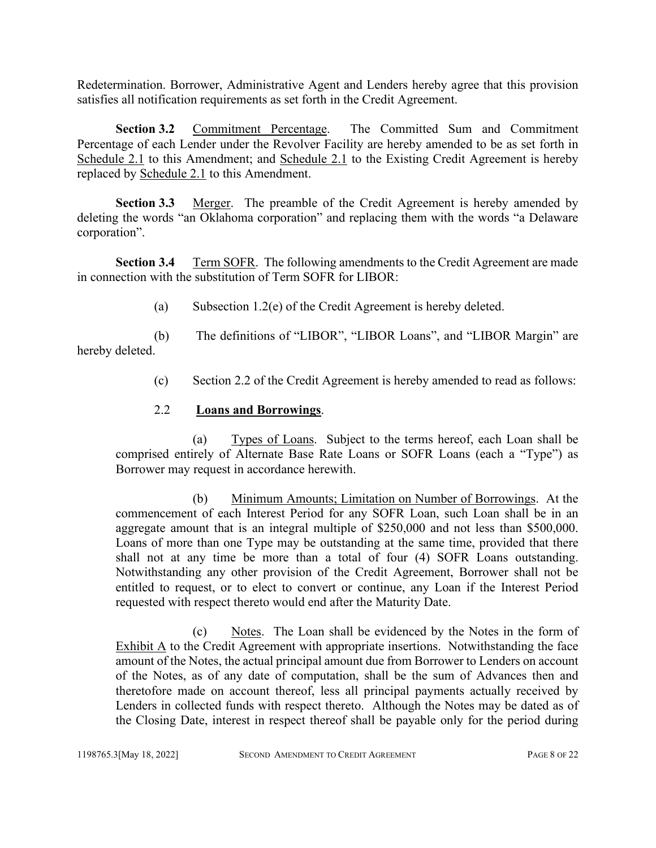Redetermination. Borrower, Administrative Agent and Lenders hereby agree that this provision satisfies all notification requirements as set forth in the Credit Agreement.

Section 3.2 Commitment Percentage. The Committed Sum and Commitment Percentage of each Lender under the Revolver Facility are hereby amended to be as set forth in Schedule 2.1 to this Amendment; and Schedule 2.1 to the Existing Credit Agreement is hereby replaced by Schedule 2.1 to this Amendment.

**Section 3.3** Merger. The preamble of the Credit Agreement is hereby amended by deleting the words "an Oklahoma corporation" and replacing them with the words "a Delaware corporation".

**Section 3.4** Term SOFR. The following amendments to the Credit Agreement are made in connection with the substitution of Term SOFR for LIBOR:

(a) Subsection 1.2(e) of the Credit Agreement is hereby deleted.

(b) The definitions of "LIBOR", "LIBOR Loans", and "LIBOR Margin" are hereby deleted.

(c) Section 2.2 of the Credit Agreement is hereby amended to read as follows:

## 2.2 **Loans and Borrowings**.

(a) Types of Loans. Subject to the terms hereof, each Loan shall be comprised entirely of Alternate Base Rate Loans or SOFR Loans (each a "Type") as Borrower may request in accordance herewith.

(b) Minimum Amounts; Limitation on Number of Borrowings. At the commencement of each Interest Period for any SOFR Loan, such Loan shall be in an aggregate amount that is an integral multiple of \$250,000 and not less than \$500,000. Loans of more than one Type may be outstanding at the same time, provided that there shall not at any time be more than a total of four (4) SOFR Loans outstanding. Notwithstanding any other provision of the Credit Agreement, Borrower shall not be entitled to request, or to elect to convert or continue, any Loan if the Interest Period requested with respect thereto would end after the Maturity Date.

(c) Notes. The Loan shall be evidenced by the Notes in the form of Exhibit A to the Credit Agreement with appropriate insertions. Notwithstanding the face amount of the Notes, the actual principal amount due from Borrower to Lenders on account of the Notes, as of any date of computation, shall be the sum of Advances then and theretofore made on account thereof, less all principal payments actually received by Lenders in collected funds with respect thereto. Although the Notes may be dated as of the Closing Date, interest in respect thereof shall be payable only for the period during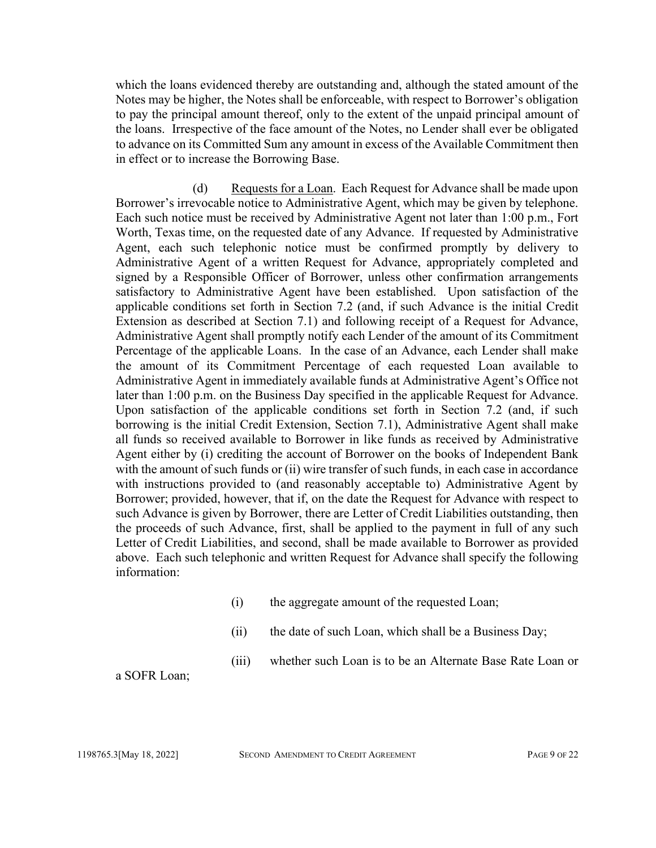which the loans evidenced thereby are outstanding and, although the stated amount of the Notes may be higher, the Notes shall be enforceable, with respect to Borrower's obligation to pay the principal amount thereof, only to the extent of the unpaid principal amount of the loans. Irrespective of the face amount of the Notes, no Lender shall ever be obligated to advance on its Committed Sum any amount in excess of the Available Commitment then in effect or to increase the Borrowing Base.

(d) Requests for a Loan. Each Request for Advance shall be made upon Borrower's irrevocable notice to Administrative Agent, which may be given by telephone. Each such notice must be received by Administrative Agent not later than 1:00 p.m., Fort Worth, Texas time, on the requested date of any Advance. If requested by Administrative Agent, each such telephonic notice must be confirmed promptly by delivery to Administrative Agent of a written Request for Advance, appropriately completed and signed by a Responsible Officer of Borrower, unless other confirmation arrangements satisfactory to Administrative Agent have been established. Upon satisfaction of the applicable conditions set forth in Section 7.2 (and, if such Advance is the initial Credit Extension as described at Section 7.1) and following receipt of a Request for Advance, Administrative Agent shall promptly notify each Lender of the amount of its Commitment Percentage of the applicable Loans. In the case of an Advance, each Lender shall make the amount of its Commitment Percentage of each requested Loan available to Administrative Agent in immediately available funds at Administrative Agent's Office not later than 1:00 p.m. on the Business Day specified in the applicable Request for Advance. Upon satisfaction of the applicable conditions set forth in Section 7.2 (and, if such borrowing is the initial Credit Extension, Section 7.1), Administrative Agent shall make all funds so received available to Borrower in like funds as received by Administrative Agent either by (i) crediting the account of Borrower on the books of Independent Bank with the amount of such funds or (ii) wire transfer of such funds, in each case in accordance with instructions provided to (and reasonably acceptable to) Administrative Agent by Borrower; provided, however, that if, on the date the Request for Advance with respect to such Advance is given by Borrower, there are Letter of Credit Liabilities outstanding, then the proceeds of such Advance, first, shall be applied to the payment in full of any such Letter of Credit Liabilities, and second, shall be made available to Borrower as provided above. Each such telephonic and written Request for Advance shall specify the following information:

- (i) the aggregate amount of the requested Loan;
- (ii) the date of such Loan, which shall be a Business Day;

(iii) whether such Loan is to be an Alternate Base Rate Loan or

a SOFR Loan;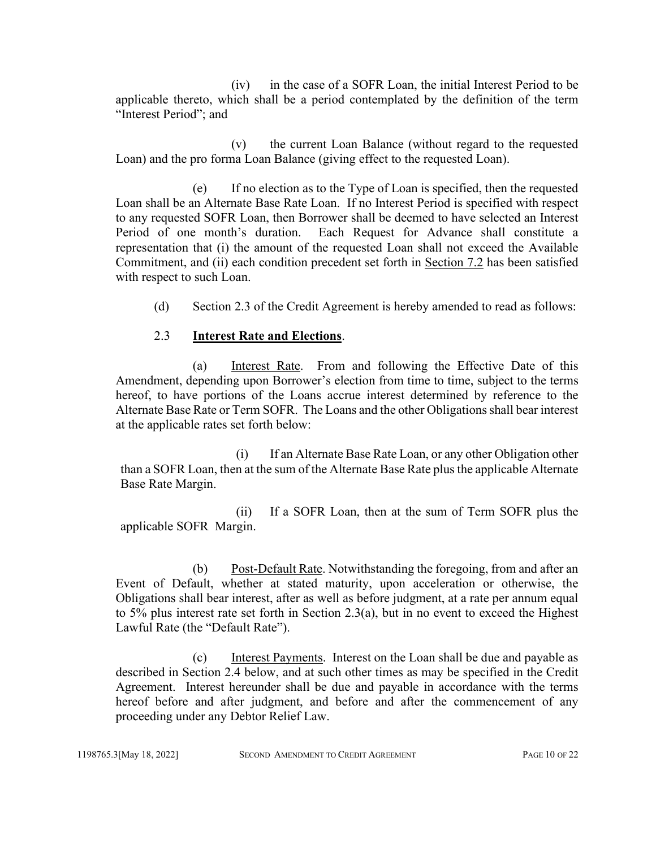(iv) in the case of a SOFR Loan, the initial Interest Period to be applicable thereto, which shall be a period contemplated by the definition of the term "Interest Period"; and

(v) the current Loan Balance (without regard to the requested Loan) and the pro forma Loan Balance (giving effect to the requested Loan).

(e) If no election as to the Type of Loan is specified, then the requested Loan shall be an Alternate Base Rate Loan. If no Interest Period is specified with respect to any requested SOFR Loan, then Borrower shall be deemed to have selected an Interest Period of one month's duration. Each Request for Advance shall constitute a representation that (i) the amount of the requested Loan shall not exceed the Available Commitment, and (ii) each condition precedent set forth in Section 7.2 has been satisfied with respect to such Loan.

(d) Section 2.3 of the Credit Agreement is hereby amended to read as follows:

## 2.3 **Interest Rate and Elections**.

(a) Interest Rate. From and following the Effective Date of this Amendment, depending upon Borrower's election from time to time, subject to the terms hereof, to have portions of the Loans accrue interest determined by reference to the Alternate Base Rate or Term SOFR. The Loans and the other Obligations shall bear interest at the applicable rates set forth below:

(i) If an Alternate Base Rate Loan, or any other Obligation other than a SOFR Loan, then at the sum of the Alternate Base Rate plus the applicable Alternate Base Rate Margin.

(ii) If a SOFR Loan, then at the sum of Term SOFR plus the applicable SOFR Margin.

(b) Post-Default Rate. Notwithstanding the foregoing, from and after an Event of Default, whether at stated maturity, upon acceleration or otherwise, the Obligations shall bear interest, after as well as before judgment, at a rate per annum equal to 5% plus interest rate set forth in Section 2.3(a), but in no event to exceed the Highest Lawful Rate (the "Default Rate").

(c) Interest Payments. Interest on the Loan shall be due and payable as described in Section 2.4 below, and at such other times as may be specified in the Credit Agreement. Interest hereunder shall be due and payable in accordance with the terms hereof before and after judgment, and before and after the commencement of any proceeding under any Debtor Relief Law.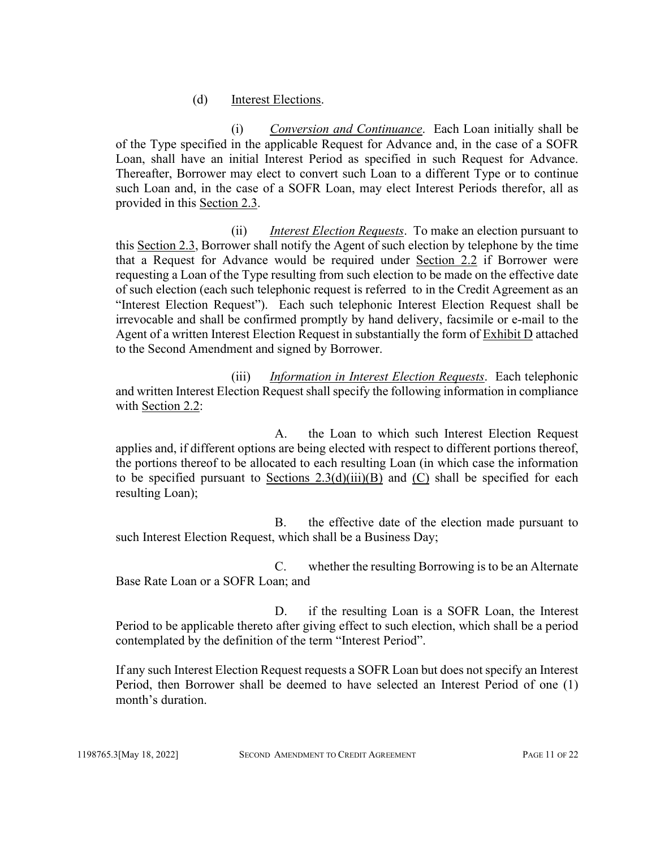#### (d) Interest Elections.

(i) *Conversion and Continuance*. Each Loan initially shall be of the Type specified in the applicable Request for Advance and, in the case of a SOFR Loan, shall have an initial Interest Period as specified in such Request for Advance. Thereafter, Borrower may elect to convert such Loan to a different Type or to continue such Loan and, in the case of a SOFR Loan, may elect Interest Periods therefor, all as provided in this Section 2.3.

(ii) *Interest Election Requests*. To make an election pursuant to this Section 2.3, Borrower shall notify the Agent of such election by telephone by the time that a Request for Advance would be required under Section 2.2 if Borrower were requesting a Loan of the Type resulting from such election to be made on the effective date of such election (each such telephonic request is referred to in the Credit Agreement as an "Interest Election Request"). Each such telephonic Interest Election Request shall be irrevocable and shall be confirmed promptly by hand delivery, facsimile or e-mail to the Agent of a written Interest Election Request in substantially the form of Exhibit D attached to the Second Amendment and signed by Borrower.

(iii) *Information in Interest Election Requests*. Each telephonic and written Interest Election Request shall specify the following information in compliance with Section 2.2:

A. the Loan to which such Interest Election Request applies and, if different options are being elected with respect to different portions thereof, the portions thereof to be allocated to each resulting Loan (in which case the information to be specified pursuant to Sections  $2.3(d)(iii)(B)$  and (C) shall be specified for each resulting Loan);

B. the effective date of the election made pursuant to such Interest Election Request, which shall be a Business Day;

C. whether the resulting Borrowing is to be an Alternate Base Rate Loan or a SOFR Loan; and

D. if the resulting Loan is a SOFR Loan, the Interest Period to be applicable thereto after giving effect to such election, which shall be a period contemplated by the definition of the term "Interest Period".

If any such Interest Election Request requests a SOFR Loan but does not specify an Interest Period, then Borrower shall be deemed to have selected an Interest Period of one (1) month's duration.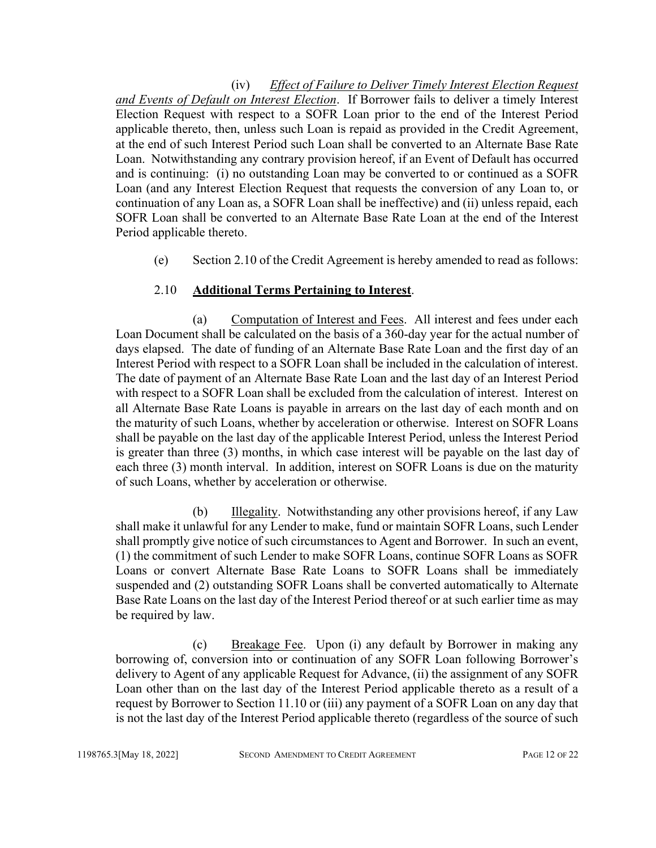(iv) *Effect of Failure to Deliver Timely Interest Election Request and Events of Default on Interest Election*. If Borrower fails to deliver a timely Interest Election Request with respect to a SOFR Loan prior to the end of the Interest Period applicable thereto, then, unless such Loan is repaid as provided in the Credit Agreement, at the end of such Interest Period such Loan shall be converted to an Alternate Base Rate Loan. Notwithstanding any contrary provision hereof, if an Event of Default has occurred and is continuing: (i) no outstanding Loan may be converted to or continued as a SOFR Loan (and any Interest Election Request that requests the conversion of any Loan to, or continuation of any Loan as, a SOFR Loan shall be ineffective) and (ii) unless repaid, each SOFR Loan shall be converted to an Alternate Base Rate Loan at the end of the Interest Period applicable thereto.

(e) Section 2.10 of the Credit Agreement is hereby amended to read as follows:

## 2.10 **Additional Terms Pertaining to Interest**.

(a) Computation of Interest and Fees. All interest and fees under each Loan Document shall be calculated on the basis of a 360-day year for the actual number of days elapsed. The date of funding of an Alternate Base Rate Loan and the first day of an Interest Period with respect to a SOFR Loan shall be included in the calculation of interest. The date of payment of an Alternate Base Rate Loan and the last day of an Interest Period with respect to a SOFR Loan shall be excluded from the calculation of interest. Interest on all Alternate Base Rate Loans is payable in arrears on the last day of each month and on the maturity of such Loans, whether by acceleration or otherwise. Interest on SOFR Loans shall be payable on the last day of the applicable Interest Period, unless the Interest Period is greater than three (3) months, in which case interest will be payable on the last day of each three (3) month interval. In addition, interest on SOFR Loans is due on the maturity of such Loans, whether by acceleration or otherwise.

(b) Illegality. Notwithstanding any other provisions hereof, if any Law shall make it unlawful for any Lender to make, fund or maintain SOFR Loans, such Lender shall promptly give notice of such circumstances to Agent and Borrower. In such an event, (1) the commitment of such Lender to make SOFR Loans, continue SOFR Loans as SOFR Loans or convert Alternate Base Rate Loans to SOFR Loans shall be immediately suspended and (2) outstanding SOFR Loans shall be converted automatically to Alternate Base Rate Loans on the last day of the Interest Period thereof or at such earlier time as may be required by law.

(c) Breakage Fee. Upon (i) any default by Borrower in making any borrowing of, conversion into or continuation of any SOFR Loan following Borrower's delivery to Agent of any applicable Request for Advance, (ii) the assignment of any SOFR Loan other than on the last day of the Interest Period applicable thereto as a result of a request by Borrower to Section 11.10 or (iii) any payment of a SOFR Loan on any day that is not the last day of the Interest Period applicable thereto (regardless of the source of such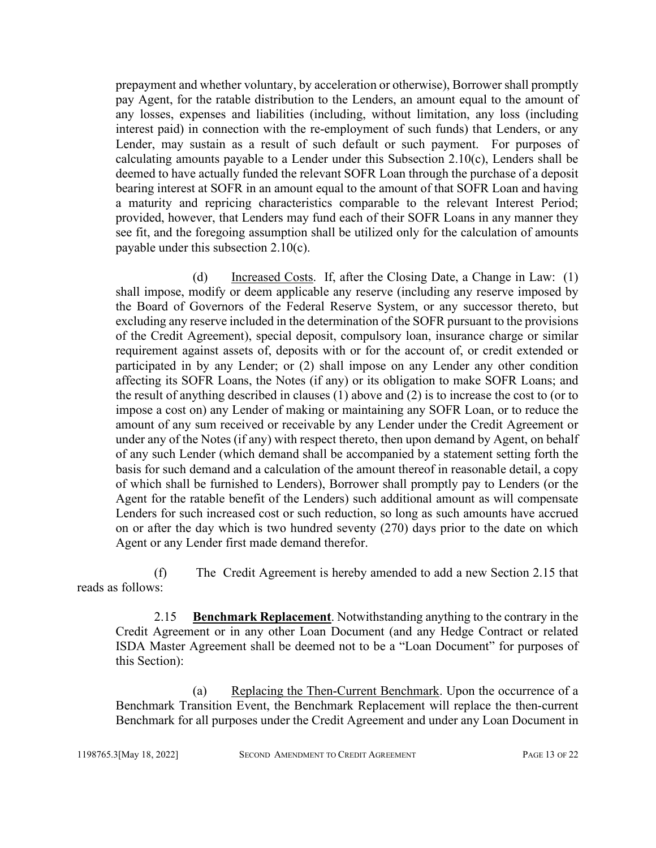prepayment and whether voluntary, by acceleration or otherwise), Borrower shall promptly pay Agent, for the ratable distribution to the Lenders, an amount equal to the amount of any losses, expenses and liabilities (including, without limitation, any loss (including interest paid) in connection with the re-employment of such funds) that Lenders, or any Lender, may sustain as a result of such default or such payment. For purposes of calculating amounts payable to a Lender under this Subsection 2.10(c), Lenders shall be deemed to have actually funded the relevant SOFR Loan through the purchase of a deposit bearing interest at SOFR in an amount equal to the amount of that SOFR Loan and having a maturity and repricing characteristics comparable to the relevant Interest Period; provided, however, that Lenders may fund each of their SOFR Loans in any manner they see fit, and the foregoing assumption shall be utilized only for the calculation of amounts payable under this subsection 2.10(c).

(d) Increased Costs. If, after the Closing Date, a Change in Law: (1) shall impose, modify or deem applicable any reserve (including any reserve imposed by the Board of Governors of the Federal Reserve System, or any successor thereto, but excluding any reserve included in the determination of the SOFR pursuant to the provisions of the Credit Agreement), special deposit, compulsory loan, insurance charge or similar requirement against assets of, deposits with or for the account of, or credit extended or participated in by any Lender; or (2) shall impose on any Lender any other condition affecting its SOFR Loans, the Notes (if any) or its obligation to make SOFR Loans; and the result of anything described in clauses (1) above and (2) is to increase the cost to (or to impose a cost on) any Lender of making or maintaining any SOFR Loan, or to reduce the amount of any sum received or receivable by any Lender under the Credit Agreement or under any of the Notes (if any) with respect thereto, then upon demand by Agent, on behalf of any such Lender (which demand shall be accompanied by a statement setting forth the basis for such demand and a calculation of the amount thereof in reasonable detail, a copy of which shall be furnished to Lenders), Borrower shall promptly pay to Lenders (or the Agent for the ratable benefit of the Lenders) such additional amount as will compensate Lenders for such increased cost or such reduction, so long as such amounts have accrued on or after the day which is two hundred seventy (270) days prior to the date on which Agent or any Lender first made demand therefor.

(f) The Credit Agreement is hereby amended to add a new Section 2.15 that reads as follows:

2.15 **Benchmark Replacement**. Notwithstanding anything to the contrary in the Credit Agreement or in any other Loan Document (and any Hedge Contract or related ISDA Master Agreement shall be deemed not to be a "Loan Document" for purposes of this Section):

(a) Replacing the Then-Current Benchmark. Upon the occurrence of a Benchmark Transition Event, the Benchmark Replacement will replace the then-current Benchmark for all purposes under the Credit Agreement and under any Loan Document in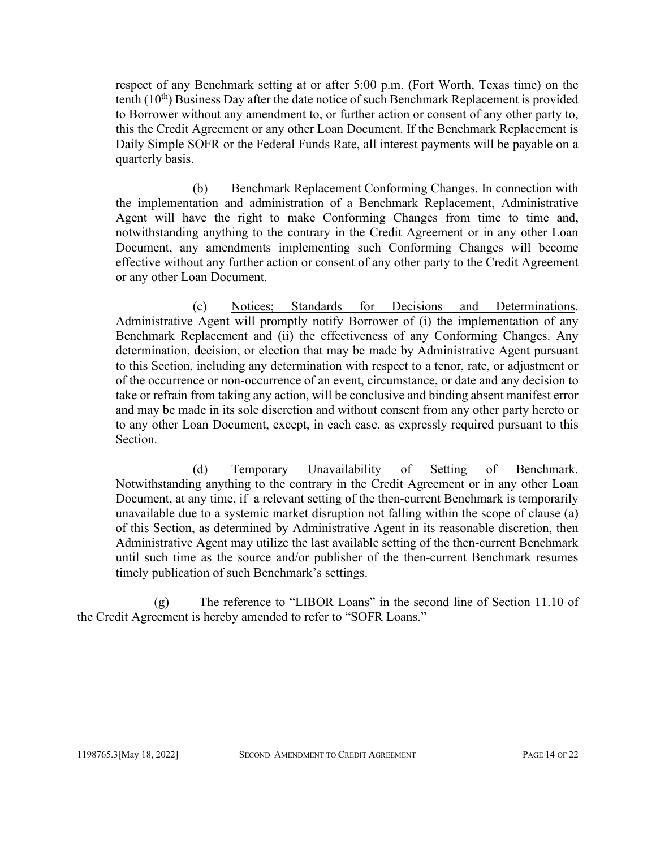respect of any Benchmark setting at or after 5:00 p.m. (Fort Worth, Texas time) on the tenth  $(10<sup>th</sup>)$  Business Day after the date notice of such Benchmark Replacement is provided to Borrower without any amendment to, or further action or consent of any other party to, this the Credit Agreement or any other Loan Document. If the Benchmark Replacement is Daily Simple SOFR or the Federal Funds Rate, all interest payments will be payable on a quarterly basis.

(b) Benchmark Replacement Conforming Changes. In connection with the implementation and administration of a Benchmark Replacement, Administrative Agent will have the right to make Conforming Changes from time to time and, notwithstanding anything to the contrary in the Credit Agreement or in any other Loan Document, any amendments implementing such Conforming Changes will become effective without any further action or consent of any other party to the Credit Agreement or any other Loan Document.

(c) Notices; Standards for Decisions and Determinations. Administrative Agent will promptly notify Borrower of (i) the implementation of any Benchmark Replacement and (ii) the effectiveness of any Conforming Changes. Any determination, decision, or election that may be made by Administrative Agent pursuant to this Section, including any determination with respect to a tenor, rate, or adjustment or of the occurrence or non-occurrence of an event, circumstance, or date and any decision to take or refrain from taking any action, will be conclusive and binding absent manifest error and may be made in its sole discretion and without consent from any other party hereto or to any other Loan Document, except, in each case, as expressly required pursuant to this Section.

(d) Temporary Unavailability of Setting of Benchmark. Notwithstanding anything to the contrary in the Credit Agreement or in any other Loan Document, at any time, if a relevant setting of the then-current Benchmark is temporarily unavailable due to a systemic market disruption not falling within the scope of clause (a) of this Section, as determined by Administrative Agent in its reasonable discretion, then Administrative Agent may utilize the last available setting of the then-current Benchmark until such time as the source and/or publisher of the then-current Benchmark resumes timely publication of such Benchmark's settings.

(g) The reference to "LIBOR Loans" in the second line of Section 11.10 of the Credit Agreement is hereby amended to refer to "SOFR Loans."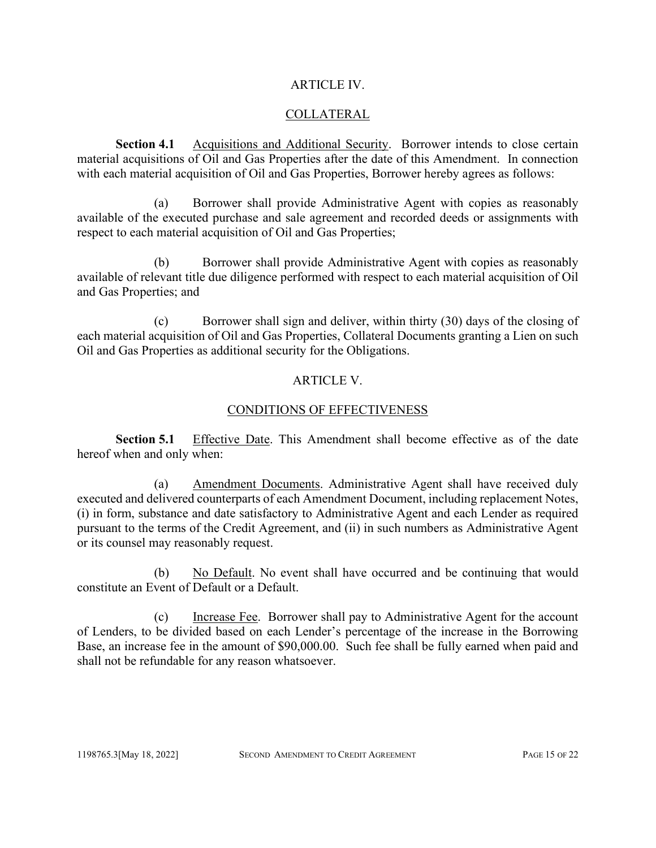#### ARTICLE IV.

## COLLATERAL

**Section 4.1** Acquisitions and Additional Security. Borrower intends to close certain material acquisitions of Oil and Gas Properties after the date of this Amendment. In connection with each material acquisition of Oil and Gas Properties, Borrower hereby agrees as follows:

(a) Borrower shall provide Administrative Agent with copies as reasonably available of the executed purchase and sale agreement and recorded deeds or assignments with respect to each material acquisition of Oil and Gas Properties;

(b) Borrower shall provide Administrative Agent with copies as reasonably available of relevant title due diligence performed with respect to each material acquisition of Oil and Gas Properties; and

(c) Borrower shall sign and deliver, within thirty (30) days of the closing of each material acquisition of Oil and Gas Properties, Collateral Documents granting a Lien on such Oil and Gas Properties as additional security for the Obligations.

## ARTICLE V.

## CONDITIONS OF EFFECTIVENESS

**Section 5.1** Effective Date. This Amendment shall become effective as of the date hereof when and only when:

(a) Amendment Documents. Administrative Agent shall have received duly executed and delivered counterparts of each Amendment Document, including replacement Notes, (i) in form, substance and date satisfactory to Administrative Agent and each Lender as required pursuant to the terms of the Credit Agreement, and (ii) in such numbers as Administrative Agent or its counsel may reasonably request.

(b) No Default. No event shall have occurred and be continuing that would constitute an Event of Default or a Default.

(c) Increase Fee. Borrower shall pay to Administrative Agent for the account of Lenders, to be divided based on each Lender's percentage of the increase in the Borrowing Base, an increase fee in the amount of \$90,000.00. Such fee shall be fully earned when paid and shall not be refundable for any reason whatsoever.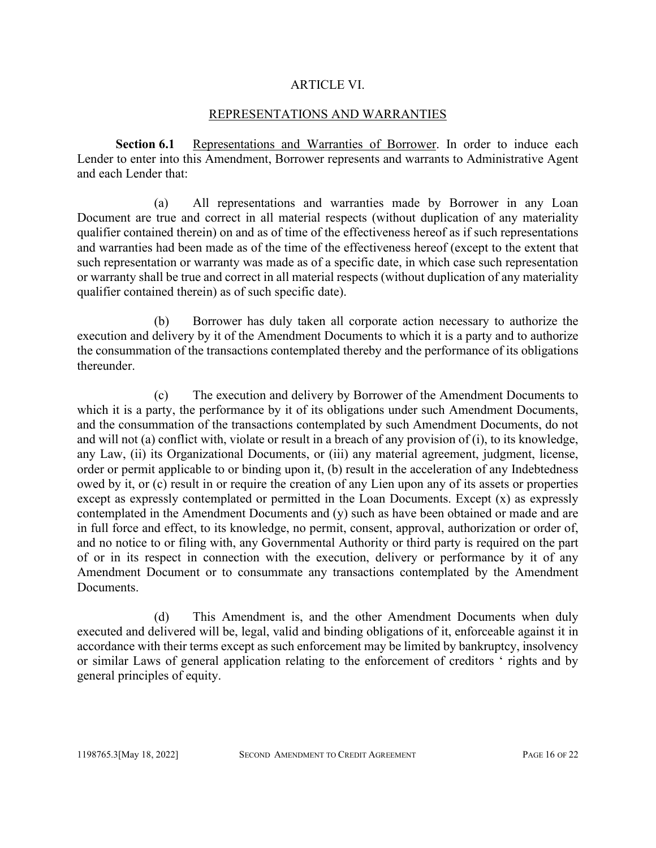#### ARTICLE VI.

#### REPRESENTATIONS AND WARRANTIES

**Section 6.1** Representations and Warranties of Borrower. In order to induce each Lender to enter into this Amendment, Borrower represents and warrants to Administrative Agent and each Lender that:

(a) All representations and warranties made by Borrower in any Loan Document are true and correct in all material respects (without duplication of any materiality qualifier contained therein) on and as of time of the effectiveness hereof as if such representations and warranties had been made as of the time of the effectiveness hereof (except to the extent that such representation or warranty was made as of a specific date, in which case such representation or warranty shall be true and correct in all material respects (without duplication of any materiality qualifier contained therein) as of such specific date).

(b) Borrower has duly taken all corporate action necessary to authorize the execution and delivery by it of the Amendment Documents to which it is a party and to authorize the consummation of the transactions contemplated thereby and the performance of its obligations thereunder.

(c) The execution and delivery by Borrower of the Amendment Documents to which it is a party, the performance by it of its obligations under such Amendment Documents, and the consummation of the transactions contemplated by such Amendment Documents, do not and will not (a) conflict with, violate or result in a breach of any provision of (i), to its knowledge, any Law, (ii) its Organizational Documents, or (iii) any material agreement, judgment, license, order or permit applicable to or binding upon it, (b) result in the acceleration of any Indebtedness owed by it, or (c) result in or require the creation of any Lien upon any of its assets or properties except as expressly contemplated or permitted in the Loan Documents. Except (x) as expressly contemplated in the Amendment Documents and (y) such as have been obtained or made and are in full force and effect, to its knowledge, no permit, consent, approval, authorization or order of, and no notice to or filing with, any Governmental Authority or third party is required on the part of or in its respect in connection with the execution, delivery or performance by it of any Amendment Document or to consummate any transactions contemplated by the Amendment Documents.

(d) This Amendment is, and the other Amendment Documents when duly executed and delivered will be, legal, valid and binding obligations of it, enforceable against it in accordance with their terms except as such enforcement may be limited by bankruptcy, insolvency or similar Laws of general application relating to the enforcement of creditors ' rights and by general principles of equity.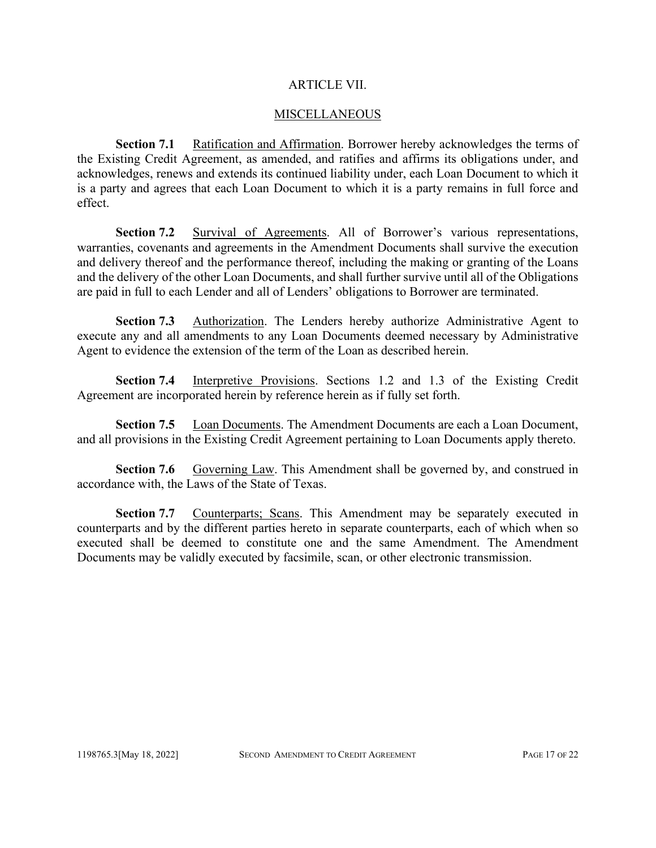#### ARTICLE VII.

#### **MISCELLANEOUS**

**Section 7.1** Ratification and Affirmation. Borrower hereby acknowledges the terms of the Existing Credit Agreement, as amended, and ratifies and affirms its obligations under, and acknowledges, renews and extends its continued liability under, each Loan Document to which it is a party and agrees that each Loan Document to which it is a party remains in full force and effect.

**Section 7.2** Survival of Agreements. All of Borrower's various representations, warranties, covenants and agreements in the Amendment Documents shall survive the execution and delivery thereof and the performance thereof, including the making or granting of the Loans and the delivery of the other Loan Documents, and shall further survive until all of the Obligations are paid in full to each Lender and all of Lenders' obligations to Borrower are terminated.

**Section 7.3** Authorization. The Lenders hereby authorize Administrative Agent to execute any and all amendments to any Loan Documents deemed necessary by Administrative Agent to evidence the extension of the term of the Loan as described herein.

**Section 7.4** Interpretive Provisions. Sections 1.2 and 1.3 of the Existing Credit Agreement are incorporated herein by reference herein as if fully set forth.

**Section 7.5** Loan Documents. The Amendment Documents are each a Loan Document, and all provisions in the Existing Credit Agreement pertaining to Loan Documents apply thereto.

**Section 7.6** Governing Law. This Amendment shall be governed by, and construed in accordance with, the Laws of the State of Texas.

**Section 7.7** Counterparts; Scans. This Amendment may be separately executed in counterparts and by the different parties hereto in separate counterparts, each of which when so executed shall be deemed to constitute one and the same Amendment. The Amendment Documents may be validly executed by facsimile, scan, or other electronic transmission.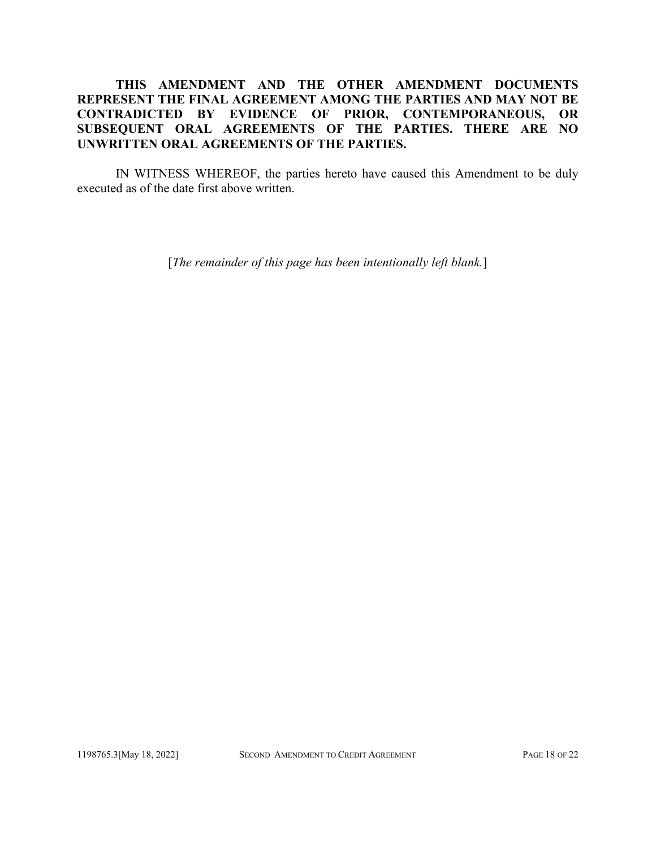## **THIS AMENDMENT AND THE OTHER AMENDMENT DOCUMENTS REPRESENT THE FINAL AGREEMENT AMONG THE PARTIES AND MAY NOT BE CONTRADICTED BY EVIDENCE OF PRIOR, CONTEMPORANEOUS, OR SUBSEQUENT ORAL AGREEMENTS OF THE PARTIES. THERE ARE NO UNWRITTEN ORAL AGREEMENTS OF THE PARTIES.**

IN WITNESS WHEREOF, the parties hereto have caused this Amendment to be duly executed as of the date first above written.

[*The remainder of this page has been intentionally left blank.*]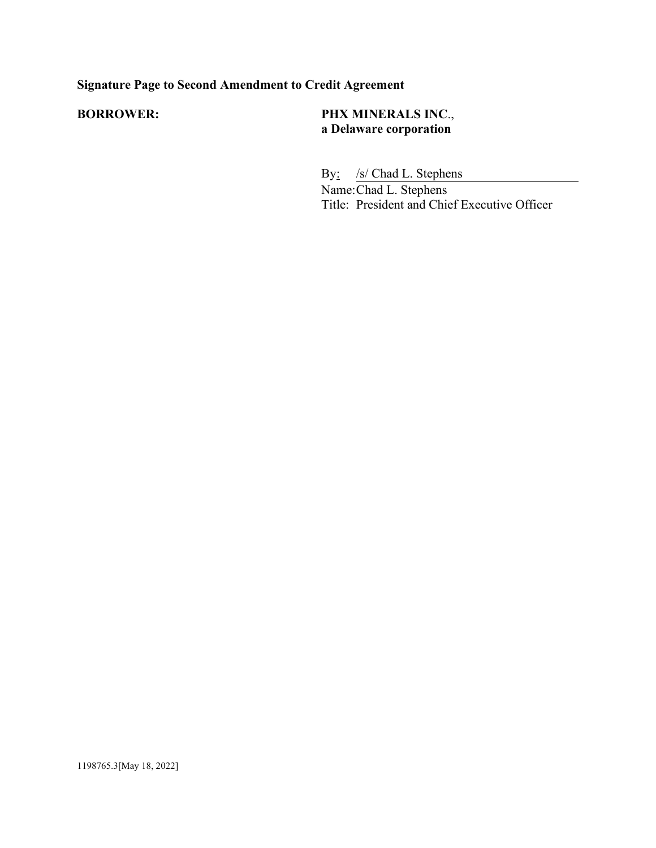# **Signature Page to Second Amendment to Credit Agreement**

## **BORROWER: PHX MINERALS INC**., **a Delaware corporation**

By: /s/ Chad L. Stephens

Name:Chad L. Stephens Title: President and Chief Executive Officer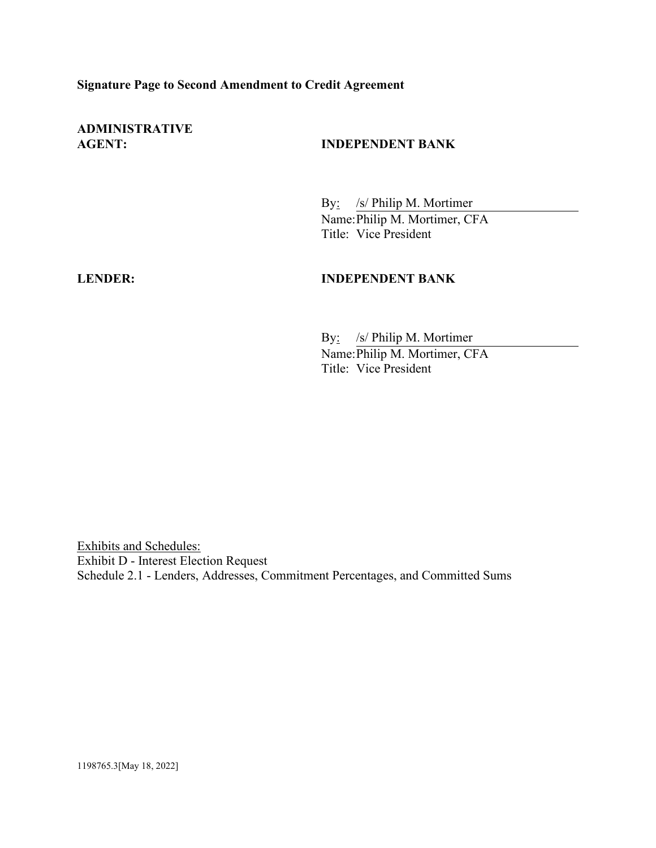## **Signature Page to Second Amendment to Credit Agreement**

**ADMINISTRATIVE**

## **AGENT: INDEPENDENT BANK**

By: /s/ Philip M. Mortimer Name:Philip M. Mortimer, CFA Title: Vice President

#### **LENDER: INDEPENDENT BANK**

By: /s/ Philip M. Mortimer Name:Philip M. Mortimer, CFA Title: Vice President

Exhibits and Schedules: Exhibit D - Interest Election Request Schedule 2.1 - Lenders, Addresses, Commitment Percentages, and Committed Sums

1198765.3[May 18, 2022]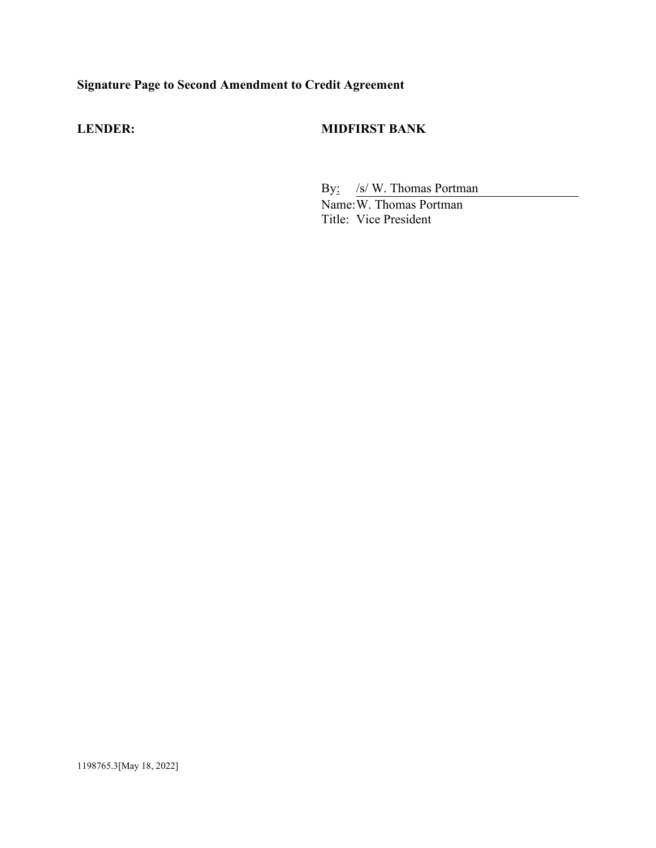# **Signature Page to Second Amendment to Credit Agreement**

## **LENDER: MIDFIRST BANK**

By: /s/ W. Thomas Portman Name: W. Thomas Portman Title: Vice President